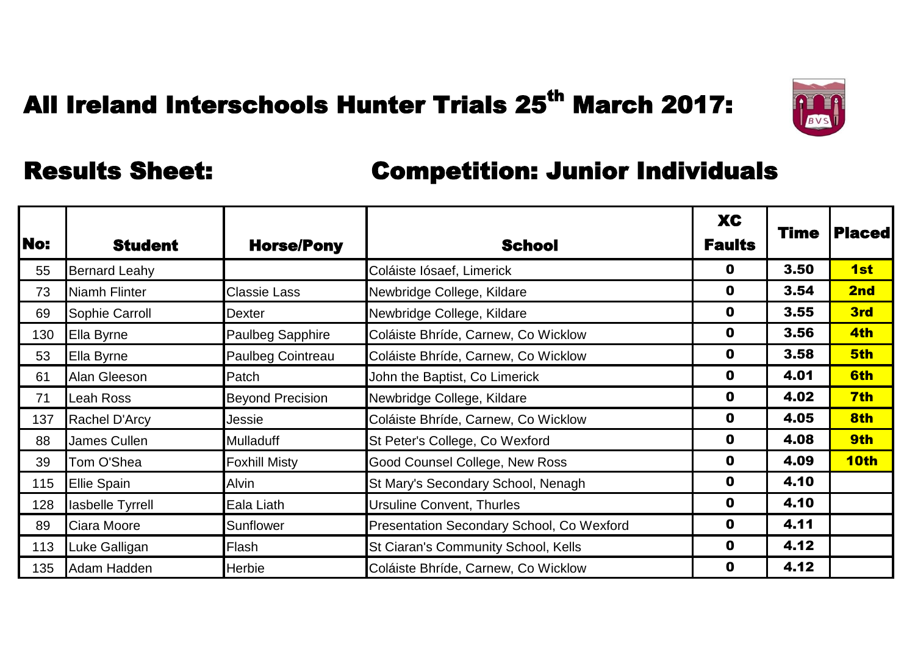

|            |                      |                         |                                                  | <b>XC</b>     | <b>Time</b> | <b> Placed </b> |
|------------|----------------------|-------------------------|--------------------------------------------------|---------------|-------------|-----------------|
| <b>No:</b> | <b>Student</b>       | <b>Horse/Pony</b>       | <b>School</b>                                    | <b>Faults</b> |             |                 |
| 55         | <b>Bernard Leahy</b> |                         | Coláiste Iósaef, Limerick                        | 0             | 3.50        | 1st             |
| 73         | Niamh Flinter        | <b>Classie Lass</b>     | Newbridge College, Kildare                       | $\mathbf 0$   | 3.54        | 2nd             |
| 69         | Sophie Carroll       | Dexter                  | Newbridge College, Kildare                       | $\mathbf 0$   | 3.55        | 3rd             |
| 130        | Ella Byrne           | <b>Paulbeg Sapphire</b> | Coláiste Bhríde, Carnew, Co Wicklow              | $\mathbf 0$   | 3.56        | 4th             |
| 53         | Ella Byrne           | Paulbeg Cointreau       | Coláiste Bhríde, Carnew, Co Wicklow              | 0             | 3.58        | 5th             |
| 61         | Alan Gleeson         | Patch                   | John the Baptist, Co Limerick                    | $\mathbf 0$   | 4.01        | 6th             |
| 71         | <b>Leah Ross</b>     | <b>Beyond Precision</b> | Newbridge College, Kildare                       | $\mathbf 0$   | 4.02        | 7th             |
| 137        | Rachel D'Arcy        | Jessie                  | Coláiste Bhríde, Carnew, Co Wicklow              | 0             | 4.05        | 8th             |
| 88         | James Cullen         | Mulladuff               | St Peter's College, Co Wexford                   | 0             | 4.08        | 9th             |
| 39         | Tom O'Shea           | <b>Foxhill Misty</b>    | Good Counsel College, New Ross                   | $\mathbf 0$   | 4.09        | 10th            |
| 115        | <b>Ellie Spain</b>   | Alvin                   | St Mary's Secondary School, Nenagh               | $\mathbf 0$   | 4.10        |                 |
| 128        | lasbelle Tyrrell     | Eala Liath              | <b>Ursuline Convent, Thurles</b>                 | 0             | 4.10        |                 |
| 89         | Ciara Moore          | Sunflower               | <b>Presentation Secondary School, Co Wexford</b> | 0             | 4.11        |                 |
| 113        | Luke Galligan        | Flash                   | St Ciaran's Community School, Kells              | $\mathbf 0$   | 4.12        |                 |
| 135        | Adam Hadden          | Herbie                  | Coláiste Bhríde, Carnew, Co Wicklow              | $\mathbf 0$   | 4.12        |                 |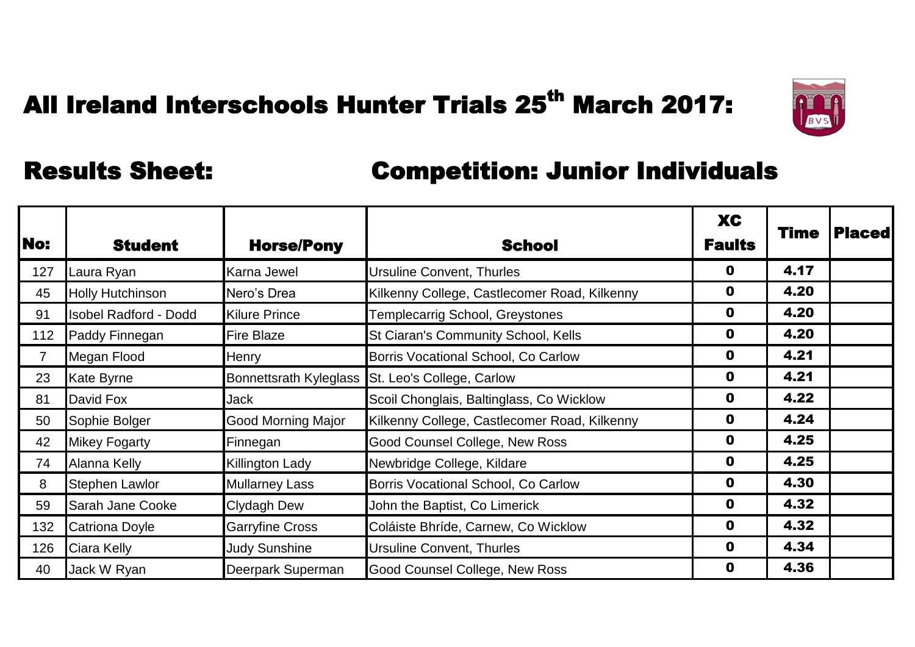

| <b>No:</b>     | <b>Student</b>               | <b>Horse/Pony</b>             | <b>School</b>                                | <b>XC</b><br><b>Faults</b> | <b>Time</b> | <b>Placed</b> |
|----------------|------------------------------|-------------------------------|----------------------------------------------|----------------------------|-------------|---------------|
| 127            | Laura Ryan                   | <b>Karna Jewel</b>            | <b>Ursuline Convent, Thurles</b>             | O                          | 4.17        |               |
| 45             | <b>Holly Hutchinson</b>      | Nero's Drea                   | Kilkenny College, Castlecomer Road, Kilkenny | $\mathbf 0$                | 4.20        |               |
| 91             | <b>Isobel Radford - Dodd</b> | <b>Kilure Prince</b>          | Templecarrig School, Greystones              | $\mathbf 0$                | 4.20        |               |
| 112            | Paddy Finnegan               | <b>Fire Blaze</b>             | St Ciaran's Community School, Kells          | 0                          | 4.20        |               |
| $\overline{7}$ | Megan Flood                  | <b>Henry</b>                  | Borris Vocational School, Co Carlow          | 0                          | 4.21        |               |
| 23             | <b>Kate Byrne</b>            | <b>Bonnettsrath Kyleglass</b> | St. Leo's College, Carlow                    | $\mathbf 0$                | 4.21        |               |
| 81             | David Fox                    | <b>Jack</b>                   | Scoil Chonglais, Baltinglass, Co Wicklow     | $\mathbf 0$                | 4.22        |               |
| 50             | Sophie Bolger                | <b>Good Morning Major</b>     | Kilkenny College, Castlecomer Road, Kilkenny | 0                          | 4.24        |               |
| 42             | <b>Mikey Fogarty</b>         | Finnegan                      | Good Counsel College, New Ross               | 0                          | 4.25        |               |
| 74             | Alanna Kelly                 | <b>Killington Lady</b>        | Newbridge College, Kildare                   | $\mathbf 0$                | 4.25        |               |
| 8              | <b>Stephen Lawlor</b>        | <b>Mullarney Lass</b>         | Borris Vocational School, Co Carlow          | $\mathbf 0$                | 4.30        |               |
| 59             | <b>Sarah Jane Cooke</b>      | <b>Clydagh Dew</b>            | John the Baptist, Co Limerick                | $\mathbf 0$                | 4.32        |               |
| 132            | <b>Catriona Doyle</b>        | <b>Garryfine Cross</b>        | Coláiste Bhríde, Carnew, Co Wicklow          | $\mathbf 0$                | 4.32        |               |
| 126            | Ciara Kelly                  | <b>Judy Sunshine</b>          | <b>Ursuline Convent, Thurles</b>             | $\mathbf 0$                | 4.34        |               |
| 40             | Jack W Ryan                  | Deerpark Superman             | <b>Good Counsel College, New Ross</b>        | 0                          | 4.36        |               |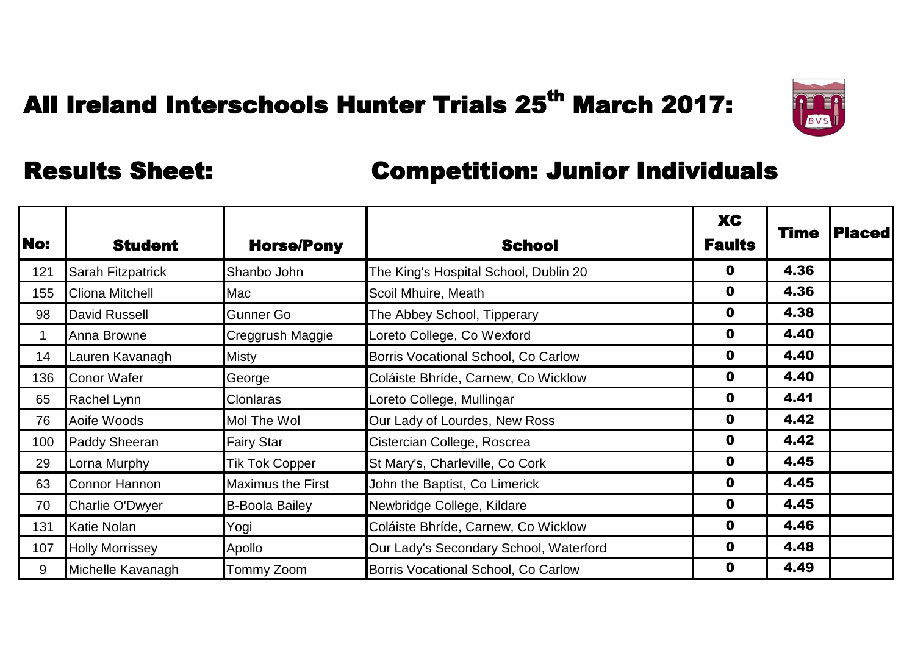

| No: | <b>Student</b>           | <b>Horse/Pony</b>        | <b>School</b>                          | <b>XC</b><br><b>Faults</b> | Time | <b>Placed</b> |
|-----|--------------------------|--------------------------|----------------------------------------|----------------------------|------|---------------|
| 121 | <b>Sarah Fitzpatrick</b> | Shanbo John              | The King's Hospital School, Dublin 20  | O                          | 4.36 |               |
| 155 | <b>Cliona Mitchell</b>   | Mac                      | Scoil Mhuire, Meath                    | $\mathbf 0$                | 4.36 |               |
| 98  | David Russell            | Gunner Go                | The Abbey School, Tipperary            | $\mathbf 0$                | 4.38 |               |
| -1  | Anna Browne              | Creggrush Maggie         | Loreto College, Co Wexford             | $\mathbf 0$                | 4.40 |               |
| 14  | Lauren Kavanagh          | Misty                    | Borris Vocational School, Co Carlow    | $\mathbf 0$                | 4.40 |               |
| 136 | Conor Wafer              | George                   | Coláiste Bhríde, Carnew, Co Wicklow    | $\mathbf 0$                | 4.40 |               |
| 65  | Rachel Lynn              | <b>Clonlaras</b>         | Loreto College, Mullingar              | $\mathbf 0$                | 4.41 |               |
| 76  | Aoife Woods              | Mol The Wol              | Our Lady of Lourdes, New Ross          | 0                          | 4.42 |               |
| 100 | <b>Paddy Sheeran</b>     | <b>Fairy Star</b>        | Cistercian College, Roscrea            | 0                          | 4.42 |               |
| 29  | Lorna Murphy             | Tik Tok Copper           | St Mary's, Charleville, Co Cork        | $\mathbf 0$                | 4.45 |               |
| 63  | <b>Connor Hannon</b>     | <b>Maximus the First</b> | John the Baptist, Co Limerick          | $\mathbf 0$                | 4.45 |               |
| 70  | <b>Charlie O'Dwyer</b>   | <b>B-Boola Bailey</b>    | Newbridge College, Kildare             | $\mathbf 0$                | 4.45 |               |
| 131 | <b>Katie Nolan</b>       | Yogi                     | Coláiste Bhríde, Carnew, Co Wicklow    | $\mathbf 0$                | 4.46 |               |
| 107 | <b>Holly Morrissey</b>   | Apollo                   | Our Lady's Secondary School, Waterford | $\mathbf 0$                | 4.48 |               |
| 9   | Michelle Kavanagh        | Tommy Zoom               | Borris Vocational School, Co Carlow    | 0                          | 4.49 |               |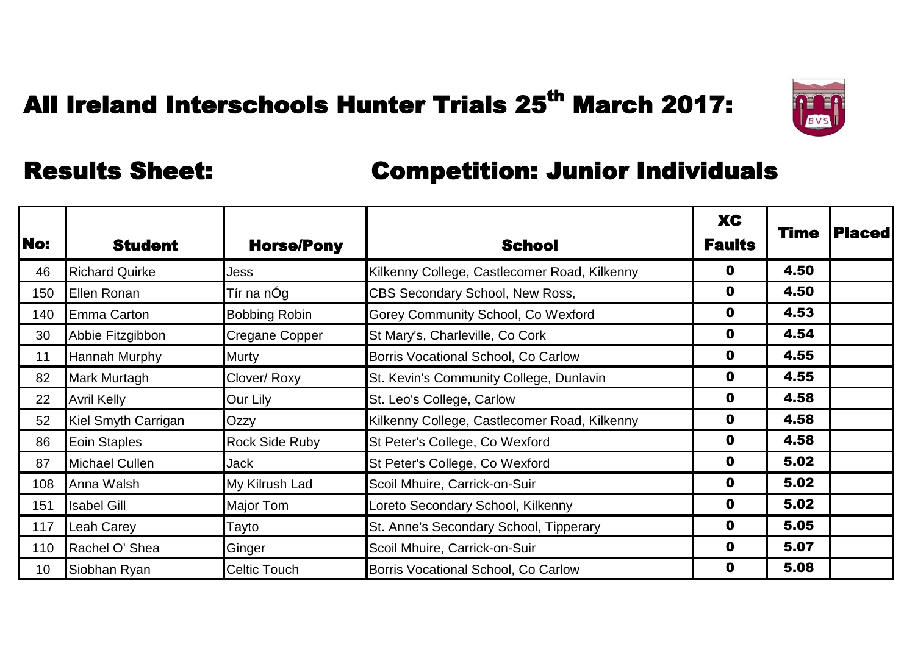

| No:             | <b>Student</b>        | <b>Horse/Pony</b>     | <b>School</b>                                | <b>XC</b><br><b>Faults</b> | <b>Time</b> | <b>Placed</b> |
|-----------------|-----------------------|-----------------------|----------------------------------------------|----------------------------|-------------|---------------|
| 46              | <b>Richard Quirke</b> | Jess                  | Kilkenny College, Castlecomer Road, Kilkenny | 0                          | 4.50        |               |
| 150             | Ellen Ronan           | Tír na nÓg            | CBS Secondary School, New Ross,              | 0                          | 4.50        |               |
| 140             | Emma Carton           | <b>Bobbing Robin</b>  | Gorey Community School, Co Wexford           | $\mathbf 0$                | 4.53        |               |
| 30              | Abbie Fitzgibbon      | <b>Cregane Copper</b> | St Mary's, Charleville, Co Cork              | $\mathbf 0$                | 4.54        |               |
| 11              | <b>Hannah Murphy</b>  | <b>Murty</b>          | Borris Vocational School, Co Carlow          | 0                          | 4.55        |               |
| 82              | Mark Murtagh          | Clover/Roxy           | St. Kevin's Community College, Dunlavin      | $\mathbf 0$                | 4.55        |               |
| 22              | <b>Avril Kelly</b>    | Our Lily              | St. Leo's College, Carlow                    | $\mathbf 0$                | 4.58        |               |
| 52              | Kiel Smyth Carrigan   | Ozzy                  | Kilkenny College, Castlecomer Road, Kilkenny | $\mathbf 0$                | 4.58        |               |
| 86              | Eoin Staples          | <b>Rock Side Ruby</b> | St Peter's College, Co Wexford               | $\mathbf 0$                | 4.58        |               |
| 87              | <b>Michael Cullen</b> | <b>Jack</b>           | St Peter's College, Co Wexford               | $\mathbf 0$                | 5.02        |               |
| 108             | Anna Walsh            | My Kilrush Lad        | Scoil Mhuire, Carrick-on-Suir                | $\mathbf 0$                | 5.02        |               |
| 151             | <b>Isabel Gill</b>    | <b>Major Tom</b>      | Loreto Secondary School, Kilkenny            | $\mathbf 0$                | 5.02        |               |
| 117             | <b>Leah Carey</b>     | Tayto                 | St. Anne's Secondary School, Tipperary       | $\mathbf 0$                | 5.05        |               |
| 110             | Rachel O' Shea        | Ginger                | Scoil Mhuire, Carrick-on-Suir                | $\mathbf 0$                | 5.07        |               |
| 10 <sup>°</sup> | Siobhan Ryan          | <b>Celtic Touch</b>   | Borris Vocational School, Co Carlow          | 0                          | 5.08        |               |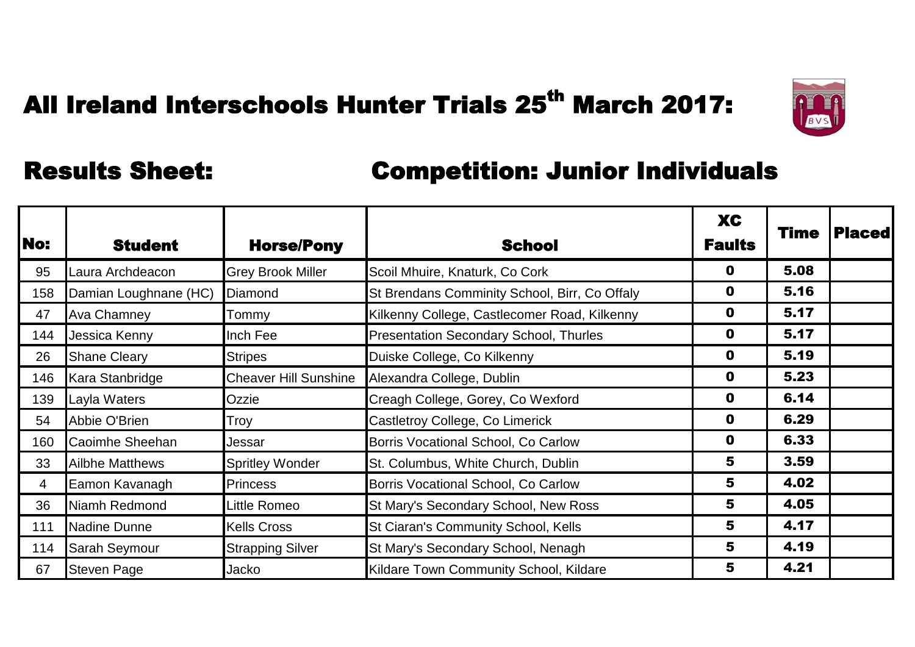

| No:            | <b>Student</b>         | <b>Horse/Pony</b>            | <b>School</b>                                 | <b>XC</b><br><b>Faults</b> | Time | <b>Placed</b> |
|----------------|------------------------|------------------------------|-----------------------------------------------|----------------------------|------|---------------|
| 95             | aura Archdeacon        | <b>Grey Brook Miller</b>     | Scoil Mhuire, Knaturk, Co Cork                | 0                          | 5.08 |               |
| 158            | Damian Loughnane (HC)  | Diamond                      | St Brendans Comminity School, Birr, Co Offaly | $\mathbf 0$                | 5.16 |               |
| 47             | <b>Ava Chamney</b>     | Tommy                        | Kilkenny College, Castlecomer Road, Kilkenny  | $\mathbf 0$                | 5.17 |               |
| 144            | Jessica Kenny          | Inch Fee                     | <b>Presentation Secondary School, Thurles</b> | $\mathbf 0$                | 5.17 |               |
| 26             | <b>Shane Cleary</b>    | <b>Stripes</b>               | Duiske College, Co Kilkenny                   | 0                          | 5.19 |               |
| 146            | Kara Stanbridge        | <b>Cheaver Hill Sunshine</b> | Alexandra College, Dublin                     | $\mathbf 0$                | 5.23 |               |
| 139            | Layla Waters           | Ozzie                        | Creagh College, Gorey, Co Wexford             | $\mathbf 0$                | 6.14 |               |
| 54             | Abbie O'Brien          | Troy                         | Castletroy College, Co Limerick               | $\mathbf 0$                | 6.29 |               |
| 160            | Caoimhe Sheehan        | Jessar                       | Borris Vocational School, Co Carlow           | $\mathbf 0$                | 6.33 |               |
| 33             | <b>Ailbhe Matthews</b> | <b>Spritley Wonder</b>       | St. Columbus, White Church, Dublin            | 5                          | 3.59 |               |
| $\overline{4}$ | Eamon Kavanagh         | <b>Princess</b>              | Borris Vocational School, Co Carlow           | 5                          | 4.02 |               |
| 36             | Niamh Redmond          | Little Romeo                 | St Mary's Secondary School, New Ross          | 5                          | 4.05 |               |
| 111            | Nadine Dunne           | <b>Kells Cross</b>           | St Ciaran's Community School, Kells           | 5                          | 4.17 |               |
| 114            | <b>Sarah Seymour</b>   | <b>Strapping Silver</b>      | St Mary's Secondary School, Nenagh            | 5                          | 4.19 |               |
| 67             | <b>Steven Page</b>     | Jacko                        | Kildare Town Community School, Kildare        | 5                          | 4.21 |               |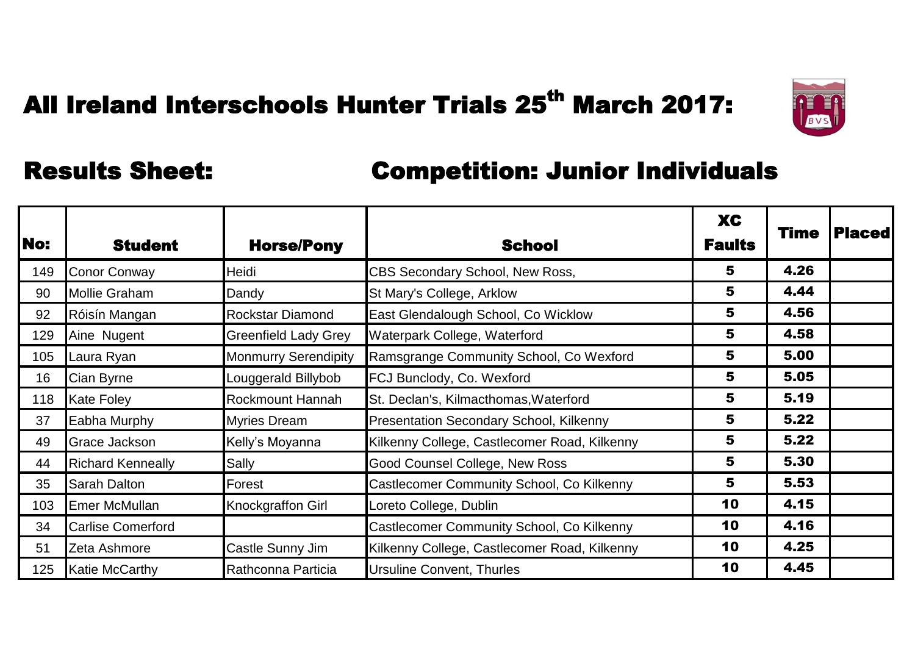

| No: | <b>Student</b>           | <b>Horse/Pony</b>           | <b>School</b>                                  | <b>XC</b><br><b>Faults</b> | Time | <b>Placed</b> |
|-----|--------------------------|-----------------------------|------------------------------------------------|----------------------------|------|---------------|
| 149 | <b>Conor Conway</b>      | Heidi                       | CBS Secondary School, New Ross,                | 5                          | 4.26 |               |
| 90  | <b>Mollie Graham</b>     | Dandy                       | St Mary's College, Arklow                      | 5                          | 4.44 |               |
| 92  | Róisín Mangan            | <b>Rockstar Diamond</b>     | East Glendalough School, Co Wicklow            | 5                          | 4.56 |               |
| 129 | Aine Nugent              | <b>Greenfield Lady Grey</b> | Waterpark College, Waterford                   | 5                          | 4.58 |               |
| 105 | Laura Ryan               | <b>Monmurry Serendipity</b> | Ramsgrange Community School, Co Wexford        | 5                          | 5.00 |               |
| 16  | Cian Byrne               | Louggerald Billybob         | FCJ Bunclody, Co. Wexford                      | 5                          | 5.05 |               |
| 118 | <b>Kate Foley</b>        | <b>Rockmount Hannah</b>     | St. Declan's, Kilmacthomas, Waterford          | 5                          | 5.19 |               |
| 37  | Eabha Murphy             | <b>Myries Dream</b>         | <b>Presentation Secondary School, Kilkenny</b> | 5                          | 5.22 |               |
| 49  | <b>Grace Jackson</b>     | Kelly's Moyanna             | Kilkenny College, Castlecomer Road, Kilkenny   | 5                          | 5.22 |               |
| 44  | <b>Richard Kenneally</b> | Sally                       | <b>Good Counsel College, New Ross</b>          | 5                          | 5.30 |               |
| 35  | <b>Sarah Dalton</b>      | Forest                      | Castlecomer Community School, Co Kilkenny      | 5                          | 5.53 |               |
| 103 | <b>Emer McMullan</b>     | <b>Knockgraffon Girl</b>    | Loreto College, Dublin                         | 10                         | 4.15 |               |
| 34  | <b>Carlise Comerford</b> |                             | Castlecomer Community School, Co Kilkenny      | 10                         | 4.16 |               |
| 51  | Zeta Ashmore             | Castle Sunny Jim            | Kilkenny College, Castlecomer Road, Kilkenny   | 10                         | 4.25 |               |
| 125 | <b>Katie McCarthy</b>    | Rathconna Particia          | <b>Ursuline Convent, Thurles</b>               | 10                         | 4.45 |               |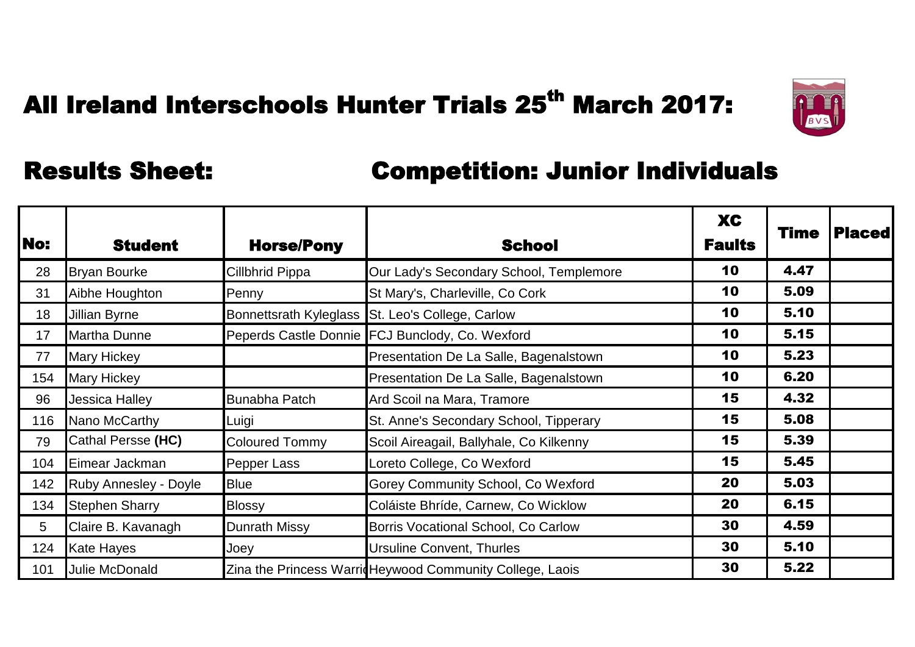

| <b>No:</b> | <b>Student</b>               | <b>Horse/Pony</b>     | <b>School</b>                                             | <b>XC</b><br><b>Faults</b> | Time | <b>Placed</b> |
|------------|------------------------------|-----------------------|-----------------------------------------------------------|----------------------------|------|---------------|
| 28         | <b>Bryan Bourke</b>          | Cillbhrid Pippa       | Our Lady's Secondary School, Templemore                   | 10                         | 4.47 |               |
| 31         | Aibhe Houghton               | Penny                 | St Mary's, Charleville, Co Cork                           | 10                         | 5.09 |               |
| 18         | Jillian Byrne                |                       | Bonnettsrath Kyleglass St. Leo's College, Carlow          | 10                         | 5.10 |               |
| 17         | <b>Martha Dunne</b>          |                       | Peperds Castle Donnie FCJ Bunclody, Co. Wexford           | 10                         | 5.15 |               |
| 77         | <b>Mary Hickey</b>           |                       | Presentation De La Salle, Bagenalstown                    | 10                         | 5.23 |               |
| 154        | <b>Mary Hickey</b>           |                       | Presentation De La Salle, Bagenalstown                    | 10                         | 6.20 |               |
| 96         | Jessica Halley               | <b>Bunabha Patch</b>  | Ard Scoil na Mara, Tramore                                | 15                         | 4.32 |               |
| 116        | Nano McCarthy                | Luigi                 | St. Anne's Secondary School, Tipperary                    | 15                         | 5.08 |               |
| 79         | Cathal Persse (HC)           | <b>Coloured Tommy</b> | Scoil Aireagail, Ballyhale, Co Kilkenny                   | 15                         | 5.39 |               |
| 104        | Eimear Jackman               | Pepper Lass           | Loreto College, Co Wexford                                | 15                         | 5.45 |               |
| 142        | <b>Ruby Annesley - Doyle</b> | <b>Blue</b>           | <b>Gorey Community School, Co Wexford</b>                 | 20                         | 5.03 |               |
| 134        | <b>Stephen Sharry</b>        | <b>Blossy</b>         | Coláiste Bhríde, Carnew, Co Wicklow                       | 20                         | 6.15 |               |
| 5          | Claire B. Kavanagh           | <b>Dunrath Missy</b>  | Borris Vocational School, Co Carlow                       | 30                         | 4.59 |               |
| 124        | <b>Kate Hayes</b>            | Joey                  | <b>Ursuline Convent, Thurles</b>                          | 30                         | 5.10 |               |
| 101        | Julie McDonald               |                       | Zina the Princess Warrid Heywood Community College, Laois | 30                         | 5.22 |               |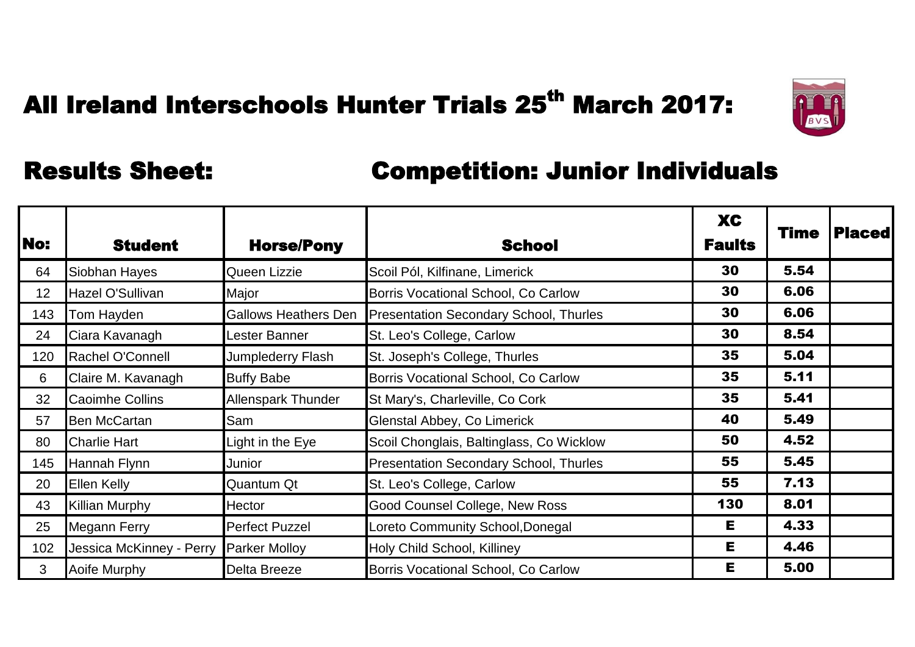

| <b>No:</b>      | <b>Student</b>           | <b>Horse/Pony</b>           | <b>School</b>                                 | <b>XC</b><br><b>Faults</b> | Time | <b>Placed</b> |
|-----------------|--------------------------|-----------------------------|-----------------------------------------------|----------------------------|------|---------------|
| 64              | Siobhan Hayes            | Queen Lizzie                | Scoil Pól, Kilfinane, Limerick                | 30                         | 5.54 |               |
| 12 <sup>2</sup> | Hazel O'Sullivan         | Major                       | Borris Vocational School, Co Carlow           | 30                         | 6.06 |               |
| 143             | Tom Hayden               | <b>Gallows Heathers Den</b> | <b>Presentation Secondary School, Thurles</b> | 30                         | 6.06 |               |
| 24              | Ciara Kavanagh           | Lester Banner               | St. Leo's College, Carlow                     | 30                         | 8.54 |               |
| 120             | Rachel O'Connell         | Jumplederry Flash           | St. Joseph's College, Thurles                 | 35                         | 5.04 |               |
| 6               | Claire M. Kavanagh       | <b>Buffy Babe</b>           | Borris Vocational School, Co Carlow           | 35                         | 5.11 |               |
| 32              | <b>Caoimhe Collins</b>   | <b>Allenspark Thunder</b>   | St Mary's, Charleville, Co Cork               | 35                         | 5.41 |               |
| 57              | <b>Ben McCartan</b>      | Sam                         | Glenstal Abbey, Co Limerick                   | 40                         | 5.49 |               |
| 80              | <b>Charlie Hart</b>      | Light in the Eye            | Scoil Chonglais, Baltinglass, Co Wicklow      | 50                         | 4.52 |               |
| 145             | Hannah Flynn             | Junior                      | <b>Presentation Secondary School, Thurles</b> | 55                         | 5.45 |               |
| 20              | <b>Ellen Kelly</b>       | Quantum Qt                  | St. Leo's College, Carlow                     | 55                         | 7.13 |               |
| 43              | <b>Killian Murphy</b>    | <b>Hector</b>               | <b>Good Counsel College, New Ross</b>         | 130                        | 8.01 |               |
| 25              | <b>Megann Ferry</b>      | <b>Perfect Puzzel</b>       | Loreto Community School, Donegal              | Е                          | 4.33 |               |
| 102             | Jessica McKinney - Perry | <b>Parker Molloy</b>        | Holy Child School, Killiney                   | E.                         | 4.46 |               |
| $\mathbf{3}$    | Aoife Murphy             | <b>Delta Breeze</b>         | Borris Vocational School, Co Carlow           | Е                          | 5.00 |               |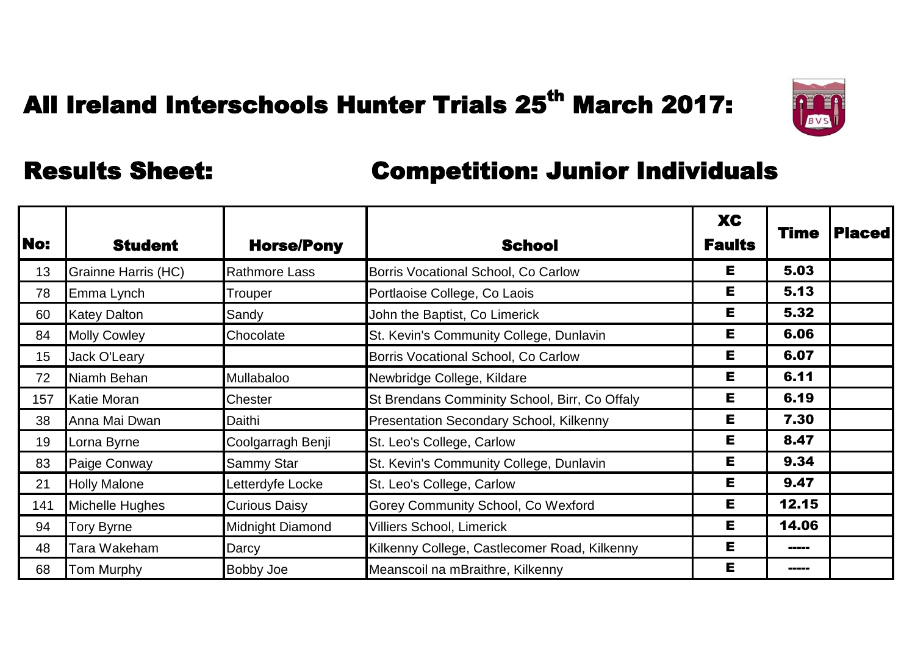

| No: | <b>Student</b>      | <b>Horse/Pony</b>    | <b>School</b>                                  | <b>XC</b><br><b>Faults</b> | Time  | <b>Placed</b> |
|-----|---------------------|----------------------|------------------------------------------------|----------------------------|-------|---------------|
| 13  | Grainne Harris (HC) | <b>Rathmore Lass</b> | Borris Vocational School, Co Carlow            | Е                          | 5.03  |               |
| 78  | Emma Lynch          | Trouper              | Portlaoise College, Co Laois                   | Е                          | 5.13  |               |
| 60  | <b>Katey Dalton</b> | Sandy                | John the Baptist, Co Limerick                  | Е                          | 5.32  |               |
| 84  | <b>Molly Cowley</b> | Chocolate            | St. Kevin's Community College, Dunlavin        | Е                          | 6.06  |               |
| 15  | Jack O'Leary        |                      | Borris Vocational School, Co Carlow            | Е                          | 6.07  |               |
| 72  | Niamh Behan         | Mullabaloo           | Newbridge College, Kildare                     | Е                          | 6.11  |               |
| 157 | Katie Moran         | Chester              | St Brendans Comminity School, Birr, Co Offaly  | Е                          | 6.19  |               |
| 38  | Anna Mai Dwan       | Daithi               | <b>Presentation Secondary School, Kilkenny</b> | Е                          | 7.30  |               |
| 19  | Lorna Byrne         | Coolgarragh Benji    | St. Leo's College, Carlow                      | Е                          | 8.47  |               |
| 83  | Paige Conway        | Sammy Star           | St. Kevin's Community College, Dunlavin        | Е                          | 9.34  |               |
| 21  | <b>Holly Malone</b> | Letterdyfe Locke     | St. Leo's College, Carlow                      | E.                         | 9.47  |               |
| 141 | Michelle Hughes     | <b>Curious Daisy</b> | <b>Gorey Community School, Co Wexford</b>      | Е                          | 12.15 |               |
| 94  | <b>Tory Byrne</b>   | Midnight Diamond     | <b>Villiers School, Limerick</b>               | Е                          | 14.06 |               |
| 48  | Tara Wakeham        | Darcy                | Kilkenny College, Castlecomer Road, Kilkenny   | Е                          | ----- |               |
| 68  | Tom Murphy          | <b>Bobby Joe</b>     | Meanscoil na mBraithre, Kilkenny               | Е                          | ----- |               |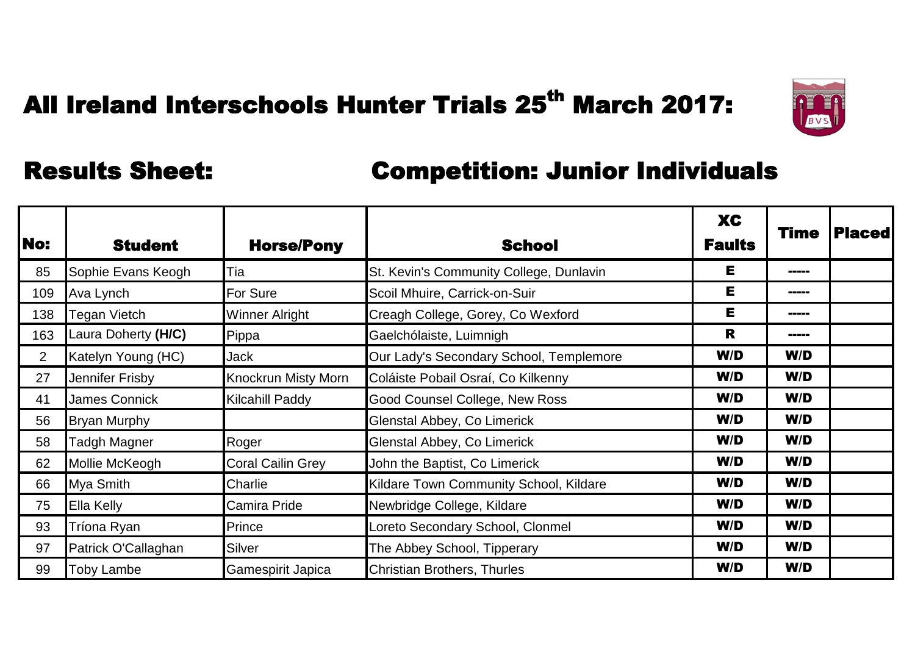

| <b>No:</b>     | <b>Student</b>      | <b>Horse/Pony</b>          | <b>School</b>                           | <b>XC</b><br><b>Faults</b> | Time  | <b>Placed</b> |
|----------------|---------------------|----------------------------|-----------------------------------------|----------------------------|-------|---------------|
| 85             | Sophie Evans Keogh  | Tia                        | St. Kevin's Community College, Dunlavin | Е                          | ----- |               |
| 109            | Ava Lynch           | <b>For Sure</b>            | Scoil Mhuire, Carrick-on-Suir           | E                          | ----- |               |
| 138            | Tegan Vietch        | <b>Winner Alright</b>      | Creagh College, Gorey, Co Wexford       | E                          | ----- |               |
| 163            | Laura Doherty (H/C) | Pippa                      | Gaelchólaiste, Luimnigh                 | R                          | ----- |               |
| $\overline{2}$ | Katelyn Young (HC)  | <b>Jack</b>                | Our Lady's Secondary School, Templemore | W/D                        | W/D   |               |
| 27             | Jennifer Frisby     | <b>Knockrun Misty Morn</b> | Coláiste Pobail Osraí, Co Kilkenny      | W/D                        | W/D   |               |
| 41             | James Connick       | Kilcahill Paddy            | Good Counsel College, New Ross          | W/D                        | W/D   |               |
| 56             | <b>Bryan Murphy</b> |                            | Glenstal Abbey, Co Limerick             | W/D                        | W/D   |               |
| 58             | Tadgh Magner        | Roger                      | Glenstal Abbey, Co Limerick             | W/D                        | W/D   |               |
| 62             | Mollie McKeogh      | <b>Coral Cailin Grey</b>   | John the Baptist, Co Limerick           | W/D                        | W/D   |               |
| 66             | Mya Smith           | Charlie                    | Kildare Town Community School, Kildare  | W/D                        | W/D   |               |
| 75             | <b>Ella Kelly</b>   | Camira Pride               | Newbridge College, Kildare              | W/D                        | W/D   |               |
| 93             | Tríona Ryan         | Prince                     | Loreto Secondary School, Clonmel        | W/D                        | W/D   |               |
| 97             | Patrick O'Callaghan | Silver                     | The Abbey School, Tipperary             | W/D                        | W/D   |               |
| 99             | <b>Toby Lambe</b>   | Gamespirit Japica          | Christian Brothers, Thurles             | W/D                        | W/D   |               |